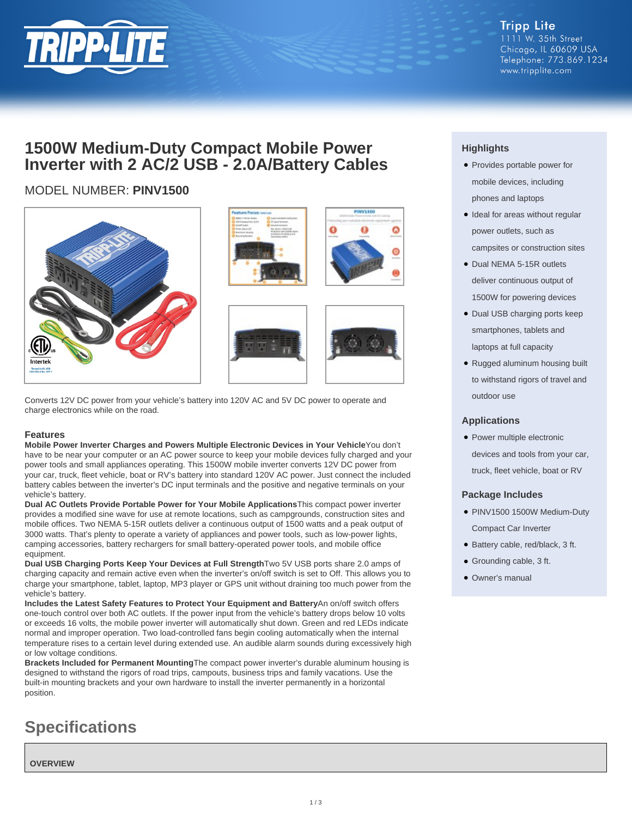

**Tripp Lite** 1111 W. 35th Street Chicago, IL 60609 USA Telephone: 773.869.1234 www.tripplite.com

## **1500W Medium-Duty Compact Mobile Power Inverter with 2 AC/2 USB - 2.0A/Battery Cables**

### MODEL NUMBER: **PINV1500**









Converts 12V DC power from your vehicle's battery into 120V AC and 5V DC power to operate and charge electronics while on the road.

#### **Features**

**Mobile Power Inverter Charges and Powers Multiple Electronic Devices in Your Vehicle**You don't have to be near your computer or an AC power source to keep your mobile devices fully charged and your power tools and small appliances operating. This 1500W mobile inverter converts 12V DC power from your car, truck, fleet vehicle, boat or RV's battery into standard 120V AC power. Just connect the included battery cables between the inverter's DC input terminals and the positive and negative terminals on your vehicle's battery.

**Dual AC Outlets Provide Portable Power for Your Mobile Applications**This compact power inverter provides a modified sine wave for use at remote locations, such as campgrounds, construction sites and mobile offices. Two NEMA 5-15R outlets deliver a continuous output of 1500 watts and a peak output of 3000 watts. That's plenty to operate a variety of appliances and power tools, such as low-power lights, camping accessories, battery rechargers for small battery-operated power tools, and mobile office equipment.

**Dual USB Charging Ports Keep Your Devices at Full Strength**Two 5V USB ports share 2.0 amps of charging capacity and remain active even when the inverter's on/off switch is set to Off. This allows you to charge your smartphone, tablet, laptop, MP3 player or GPS unit without draining too much power from the vehicle's battery.

**Includes the Latest Safety Features to Protect Your Equipment and Battery**An on/off switch offers one-touch control over both AC outlets. If the power input from the vehicle's battery drops below 10 volts or exceeds 16 volts, the mobile power inverter will automatically shut down. Green and red LEDs indicate normal and improper operation. Two load-controlled fans begin cooling automatically when the internal temperature rises to a certain level during extended use. An audible alarm sounds during excessively high or low voltage conditions.

**Brackets Included for Permanent Mounting**The compact power inverter's durable aluminum housing is designed to withstand the rigors of road trips, campouts, business trips and family vacations. Use the built-in mounting brackets and your own hardware to install the inverter permanently in a horizontal position.

# **Specifications**

**OVERVIEW**

### **Highlights**

- Provides portable power for mobile devices, including phones and laptops
- Ideal for areas without regular power outlets, such as campsites or construction sites
- Dual NEMA 5-15R outlets deliver continuous output of 1500W for powering devices
- Dual USB charging ports keep smartphones, tablets and laptops at full capacity
- Rugged aluminum housing built to withstand rigors of travel and outdoor use

#### **Applications**

• Power multiple electronic devices and tools from your car, truck, fleet vehicle, boat or RV

#### **Package Includes**

- PINV1500 1500W Medium-Duty Compact Car Inverter
- Battery cable, red/black, 3 ft.
- Grounding cable, 3 ft.
- Owner's manual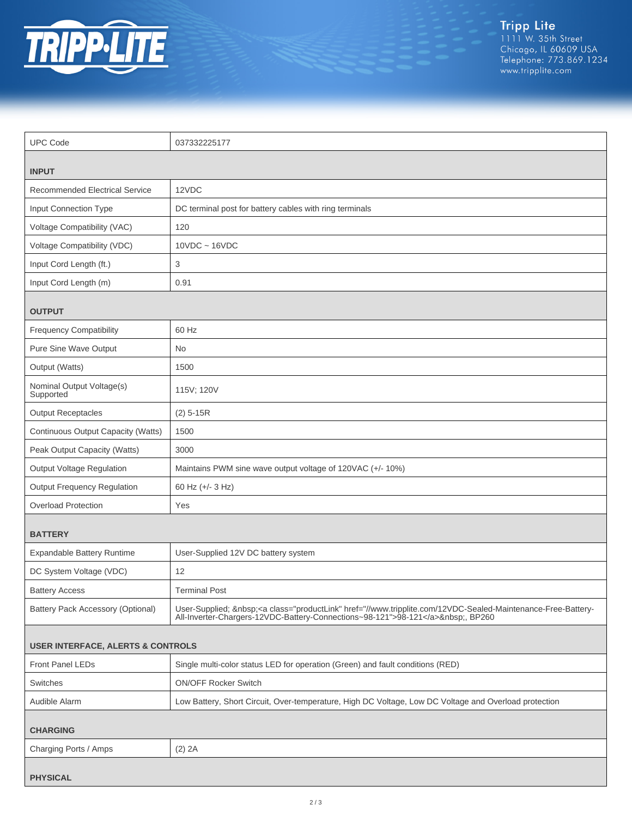

Tripp Lite<br>1111 W. 35th Street<br>Chicago, IL 60609 USA<br>Telephone: 773.869.1234<br>www.tripplite.com

| <b>UPC Code</b>                              | 037332225177                                                                                                                                                                               |  |
|----------------------------------------------|--------------------------------------------------------------------------------------------------------------------------------------------------------------------------------------------|--|
|                                              |                                                                                                                                                                                            |  |
| <b>INPUT</b>                                 |                                                                                                                                                                                            |  |
| <b>Recommended Electrical Service</b>        | 12VDC                                                                                                                                                                                      |  |
| Input Connection Type                        | DC terminal post for battery cables with ring terminals                                                                                                                                    |  |
| Voltage Compatibility (VAC)                  | 120                                                                                                                                                                                        |  |
| Voltage Compatibility (VDC)                  | $10VDC \sim 16VDC$                                                                                                                                                                         |  |
| Input Cord Length (ft.)                      | 3                                                                                                                                                                                          |  |
| Input Cord Length (m)                        | 0.91                                                                                                                                                                                       |  |
| <b>OUTPUT</b>                                |                                                                                                                                                                                            |  |
| <b>Frequency Compatibility</b>               | 60 Hz                                                                                                                                                                                      |  |
| Pure Sine Wave Output                        | No                                                                                                                                                                                         |  |
| Output (Watts)                               | 1500                                                                                                                                                                                       |  |
| Nominal Output Voltage(s)<br>Supported       | 115V; 120V                                                                                                                                                                                 |  |
| <b>Output Receptacles</b>                    | $(2)$ 5-15R                                                                                                                                                                                |  |
| Continuous Output Capacity (Watts)           | 1500                                                                                                                                                                                       |  |
| Peak Output Capacity (Watts)                 | 3000                                                                                                                                                                                       |  |
| <b>Output Voltage Regulation</b>             | Maintains PWM sine wave output voltage of 120VAC (+/- 10%)                                                                                                                                 |  |
| <b>Output Frequency Regulation</b>           | 60 Hz (+/- 3 Hz)                                                                                                                                                                           |  |
| <b>Overload Protection</b>                   | Yes                                                                                                                                                                                        |  |
| <b>BATTERY</b>                               |                                                                                                                                                                                            |  |
| Expandable Battery Runtime                   | User-Supplied 12V DC battery system                                                                                                                                                        |  |
| DC System Voltage (VDC)                      | 12                                                                                                                                                                                         |  |
| <b>Battery Access</b>                        | <b>Terminal Post</b>                                                                                                                                                                       |  |
| Battery Pack Accessory (Optional)            | User-Supplied; <a class="productLink" href="//www.tripplite.com/12VDC-Sealed-Maintenance-Free-Battery-&lt;br&gt;All-Inverter-Chargers-12VDC-Battery-Connections~98-121">98-121</a> , BP260 |  |
| <b>USER INTERFACE, ALERTS &amp; CONTROLS</b> |                                                                                                                                                                                            |  |
| Front Panel LEDs                             | Single multi-color status LED for operation (Green) and fault conditions (RED)                                                                                                             |  |
| Switches                                     | <b>ON/OFF Rocker Switch</b>                                                                                                                                                                |  |
| Audible Alarm                                | Low Battery, Short Circuit, Over-temperature, High DC Voltage, Low DC Voltage and Overload protection                                                                                      |  |
| <b>CHARGING</b>                              |                                                                                                                                                                                            |  |
| Charging Ports / Amps                        | $(2)$ 2A                                                                                                                                                                                   |  |
| <b>PHYSICAL</b>                              |                                                                                                                                                                                            |  |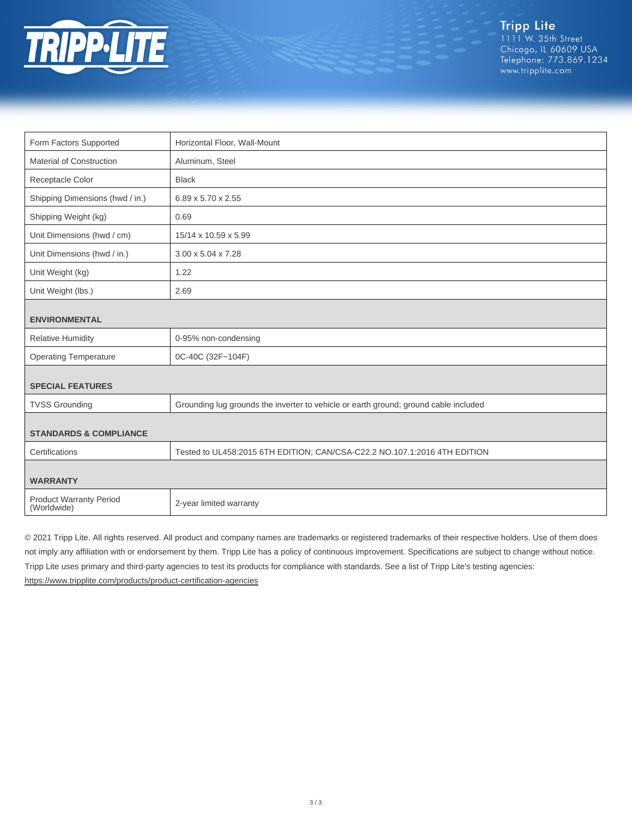

Tripp Lite<br>1111 W. 35th Street Chicago, IL 60609 USA Telephone: 773.869.1234 www.tripplite.com

| Form Factors Supported                        | Horizontal Floor, Wall-Mount                                                         |  |
|-----------------------------------------------|--------------------------------------------------------------------------------------|--|
| Material of Construction                      | Aluminum, Steel                                                                      |  |
| Receptacle Color                              | <b>Black</b>                                                                         |  |
| Shipping Dimensions (hwd / in.)               | 6.89 x 5.70 x 2.55                                                                   |  |
| Shipping Weight (kg)                          | 0.69                                                                                 |  |
| Unit Dimensions (hwd / cm)                    | 15/14 x 10.59 x 5.99                                                                 |  |
| Unit Dimensions (hwd / in.)                   | 3.00 x 5.04 x 7.28                                                                   |  |
| Unit Weight (kg)                              | 1.22                                                                                 |  |
| Unit Weight (lbs.)                            | 2.69                                                                                 |  |
| <b>ENVIRONMENTAL</b>                          |                                                                                      |  |
| <b>Relative Humidity</b>                      | 0-95% non-condensing                                                                 |  |
| <b>Operating Temperature</b>                  | 0C-40C (32F~104F)                                                                    |  |
| <b>SPECIAL FEATURES</b>                       |                                                                                      |  |
| <b>TVSS Grounding</b>                         | Grounding lug grounds the inverter to vehicle or earth ground; ground cable included |  |
|                                               |                                                                                      |  |
| <b>STANDARDS &amp; COMPLIANCE</b>             |                                                                                      |  |
| Certifications                                | Tested to UL458:2015 6TH EDITION; CAN/CSA-C22.2 NO.107.1:2016 4TH EDITION            |  |
| <b>WARRANTY</b>                               |                                                                                      |  |
| <b>Product Warranty Period</b><br>(Worldwide) | 2-year limited warranty                                                              |  |

© 2021 Tripp Lite. All rights reserved. All product and company names are trademarks or registered trademarks of their respective holders. Use of them does not imply any affiliation with or endorsement by them. Tripp Lite has a policy of continuous improvement. Specifications are subject to change without notice. Tripp Lite uses primary and third-party agencies to test its products for compliance with standards. See a list of Tripp Lite's testing agencies: <https://www.tripplite.com/products/product-certification-agencies>